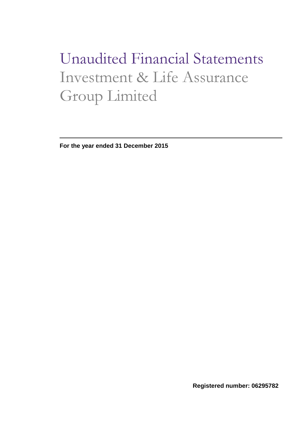# Unaudited Financial Statements Investment & Life Assurance Group Limited

**For the year ended 31 December 2015**

**Registered number: 06295782**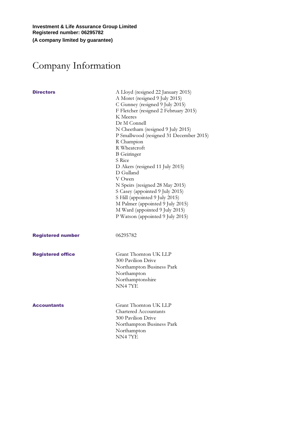**Investment & Life Assurance Group Limited Registered number: 06295782 (A company limited by guarantee)**

# Company Information

| <b>Directors</b>         | A Lloyd (resigned 22 January 2015)<br>A Moret (resigned 9 July 2015)<br>C Gunney (resigned 9 July 2015)<br>F Fletcher (resigned 2 February 2015)<br>K Meeres<br>Dr M Connell<br>N Cheetham (resigned 9 July 2015)<br>P Smallwood (resigned 31 December 2015)<br>R Champion<br>R Wheatcroft<br><b>B</b> Geiringer<br>S Rice<br>D Akers (resigned 11 July 2015)<br>D Gulland<br>V Owen<br>N Speirs (resigned 28 May 2015)<br>S Casey (appointed 9 July 2015)<br>S Hill (appointed 9 July 2015)<br>M Palmer (appointed 9 July 2015)<br>M Ward (appointed 9 July 2015)<br>P Watson (appointed 9 July 2015) |
|--------------------------|--------------------------------------------------------------------------------------------------------------------------------------------------------------------------------------------------------------------------------------------------------------------------------------------------------------------------------------------------------------------------------------------------------------------------------------------------------------------------------------------------------------------------------------------------------------------------------------------------------|
| <b>Registered number</b> | 06295782                                                                                                                                                                                                                                                                                                                                                                                                                                                                                                                                                                                               |
| <b>Registered office</b> | Grant Thornton UK LLP<br>300 Pavilion Drive<br>Northampton Business Park<br>Northampton<br>Northamptonshire<br>NN47YE                                                                                                                                                                                                                                                                                                                                                                                                                                                                                  |
| <b>Accountants</b>       | Grant Thornton UK LLP<br>Chartered Accountants<br>300 Pavilion Drive<br>Northampton Business Park<br>Northampton<br>NN47YE                                                                                                                                                                                                                                                                                                                                                                                                                                                                             |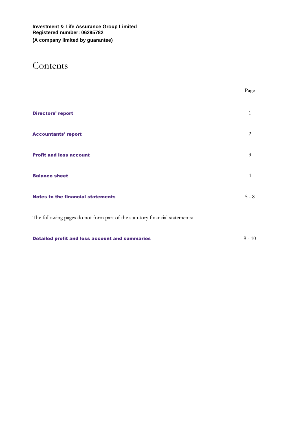### Contents

|                                                                             | Page           |
|-----------------------------------------------------------------------------|----------------|
| <b>Directors' report</b>                                                    | $\mathbf{1}$   |
| <b>Accountants' report</b>                                                  | 2              |
| <b>Profit and loss account</b>                                              | 3              |
| <b>Balance sheet</b>                                                        | $\overline{4}$ |
| <b>Notes to the financial statements</b>                                    | $5 - 8$        |
| The following pages do not form part of the statutory financial statements: |                |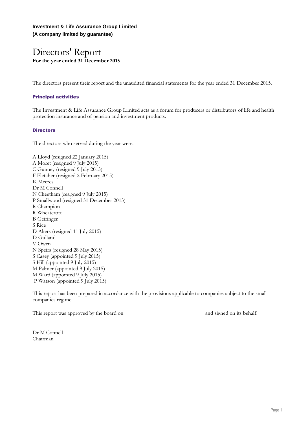**Investment & Life Assurance Group Limited (A company limited by guarantee)**

### Directors' Report For the year ended 31 December 2015

The directors present their report and the unaudited financial statements for the year ended 31 December 2015.

#### Principal activities

The Investment & Life Assurance Group Limited acts as a forum for producers or distributors of life and health protection insurance and of pension and investment products.

#### **Directors**

The directors who served during the year were:

A Lloyd (resigned 22 January 2015) A Moret (resigned 9 July 2015) C Gunney (resigned 9 July 2015) F Fletcher (resigned 2 February 2015) K Meeres Dr M Connell N Cheetham (resigned 9 July 2015) P Smallwood (resigned 31 December 2015) R Champion R Wheatcroft B Geiringer S Rice D Akers (resigned 11 July 2015) D Gulland V Owen N Speirs (resigned 28 May 2015) S Casey (appointed 9 July 2015) S Hill (appointed 9 July 2015) M Palmer (appointed 9 July 2015) M Ward (appointed 9 July 2015) P Watson (appointed 9 July 2015)

This report has been prepared in accordance with the provisions applicable to companies subject to the small companies regime.

This report was approved by the board on and signed on its behalf.

Dr M Connell Chairman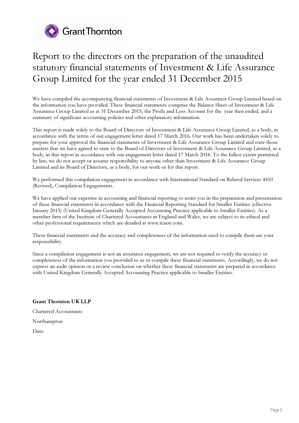

### Report to the directors on the preparation of the unaudited statutory financial statements of Investment & Life Assurance Group Limited for the year ended 31 December 2015

We have compiled the accompanying financial statements of Investment & Life Assurance Group Limited based on the information you have provided. These financial statements comprise the Balance Sheet of Investment & Life Assurance Group Limited as at 31 December 2015, the Profit and Loss Account for the year then ended, and a summary of significant accounting policies and other explanatory information.

This report is made solely to the Board of Directors of Investment & Life Assurance Group Limited, as a body, in accordance with the terms of our engagement letter dated 17 March 2016. Our work has been undertaken solely to prepare for your approval the financial statements of Investment & Life Assurance Group Limited and state those matters that we have agreed to state to the Board of Directors of Investment & Life Assurance Group Limited, as a body, in this report in accordance with our engagement letter dated 17 March 2016. To the fullest extent permitted by law, we do not accept or assume responsibility to anyone other than Investment & Life Assurance Group Limited and its Board of Directors, as a body, for our work or for this report.

We performed this compilation engagement in accordance with International Standard on Related Services 4410 (Revised), Compilation Engagements.

We have applied our expertise in accounting and financial reporting to assist you in the preparation and presentation of these financial statements in accordance with the Financial Reporting Standard for Smaller Entities (effective January 2015) (United Kingdom Generally Accepted Accounting Practice applicable to Smaller Entities). As a member firm of the Institute of Chartered Accountants in England and Wales, we are subject to its ethical and other professional requirements which are detailed at www.icaew.com.

These financial statements and the accuracy and completeness of the information used to compile them are your responsibility.

Since a compilation engagement is not an assurance engagement, we are not required to verify the accuracy or completeness of the information you provided to us to compile these financial statements. Accordingly, we do not express an audit opinion or a review conclusion on whether these financial statements are prepared in accordance with United Kingdom Generally Accepted Accounting Practice applicable to Smaller Entities.

Grant Thornton UK LLP

Chartered Accountants

Northampton

Date: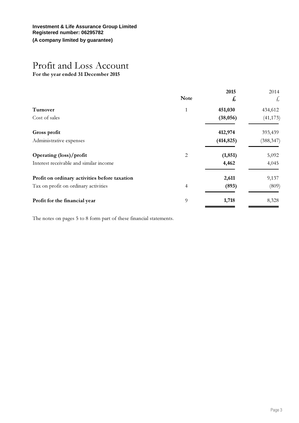# Profit and Loss Account

For the year ended 31 December 2015

|                                               | <b>Note</b>              | 2015<br>£  | 2014<br>£  |
|-----------------------------------------------|--------------------------|------------|------------|
| Turnover                                      | $\mathbf{1}$             | 451,030    | 434,612    |
| Cost of sales                                 |                          | (38,056)   | (41, 173)  |
| Gross profit                                  |                          | 412,974    | 393,439    |
| Administrative expenses                       |                          | (414, 825) | (388, 347) |
| Operating (loss)/profit                       | 2                        | (1, 851)   | 5,092      |
| Interest receivable and similar income        |                          | 4,462      | 4,045      |
| Profit on ordinary activities before taxation |                          | 2,611      | 9,137      |
| Tax on profit on ordinary activities          | $\overline{\mathcal{A}}$ | (893)      | (809)      |
| Profit for the financial year                 | 9                        | 1,718      | 8,328      |
|                                               |                          |            |            |

The notes on pages 5 to 8 form part of these financial statements.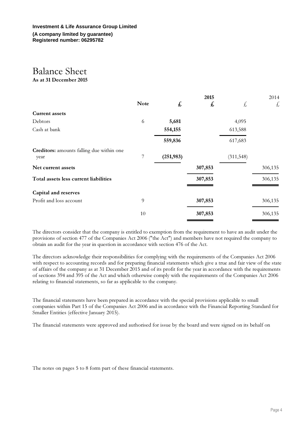# Balance Sheet

As at 31 December 2015

|             |            | 2015    |           | 2014          |
|-------------|------------|---------|-----------|---------------|
| <b>Note</b> | £          | £       | £         | $\frac{1}{2}$ |
|             |            |         |           |               |
| 6           | 5,681      |         | 4,095     |               |
|             | 554,155    |         | 613,588   |               |
|             | 559,836    |         | 617,683   |               |
| 7           | (251, 983) |         | (311,548) |               |
|             |            | 307,853 |           | 306,135       |
|             |            | 307,853 |           | 306,135       |
|             |            |         |           |               |
| 9           |            | 307,853 |           | 306,135       |
| 10          |            | 307,853 |           | 306,135       |
|             |            |         |           |               |

The directors consider that the company is entitled to exemption from the requirement to have an audit under the provisions of section 477 of the Companies Act 2006 ("the Act") and members have not required the company to obtain an audit for the year in question in accordance with section 476 of the Act.

The directors acknowledge their responsibilities for complying with the requirements of the Companies Act 2006 with respect to accounting records and for preparing financial statements which give a true and fair view of the state of affairs of the company as at 31 December 2015 and of its profit for the year in accordance with the requirements of sections 394 and 395 of the Act and which otherwise comply with the requirements of the Companies Act 2006 relating to financial statements, so far as applicable to the company.

The financial statements have been prepared in accordance with the special provisions applicable to small companies within Part 15 of the Companies Act 2006 and in accordance with the Financial Reporting Standard for Smaller Entities (effective January 2015).

The financial statements were approved and authorised for issue by the board and were signed on its behalf on

The notes on pages 5 to 8 form part of these financial statements.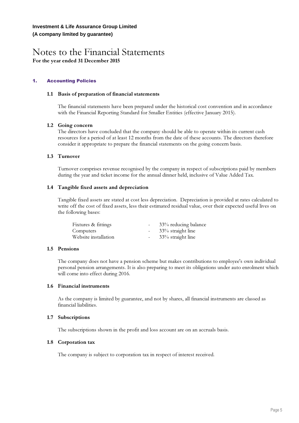### Notes to the Financial Statements For the year ended 31 December 2015

#### 1. Accounting Policies

#### 1.1 Basis of preparation of financial statements

The financial statements have been prepared under the historical cost convention and in accordance with the Financial Reporting Standard for Smaller Entities (effective January 2015).

#### 1.2 Going concern

The directors have concluded that the company should be able to operate within its current cash resources for a period of at least 12 months from the date of these accounts. The directors therefore consider it appropriate to prepare the financial statements on the going concern basis.

#### 1.3 Turnover

Turnover comprises revenue recognised by the company in respect of subscriptions paid by members during the year and ticket income for the annual dinner held, inclusive of Value Added Tax.

#### 1.4 Tangible fixed assets and depreciation

Tangible fixed assets are stated at cost less depreciation. Depreciation is provided at rates calculated to write off the cost of fixed assets, less their estimated residual value, over their expected useful lives on the following bases:

| Fixtures & fittings  | $\sim$           | 33% reducing balance |
|----------------------|------------------|----------------------|
| Computers            | $\sim$ 100 $\mu$ | 33% straight line    |
| Website installation | $\sim$ $-$       | 33% straight line    |

#### 1.5 Pensions

The company does not have a pension scheme but makes contributions to employee's own individual personal pension arrangements. It is also preparing to meet its obligations under auto enrolment which will come into effect during 2016.

#### 1.6 Financial instruments

As the company is limited by guarantee, and not by shares, all financial instruments are classed as financial liabilities.

#### 1.7 Subscriptions

The subscriptions shown in the profit and loss account are on an accruals basis.

#### 1.8 Corporation tax

The company is subject to corporation tax in respect of interest received.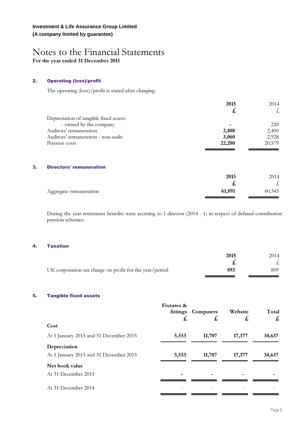### Notes to the Financial Statements For the year ended 31 December 2015

#### 2. Operating (loss)/profit

The operating (loss)/profit is stated after charging:

|                                        | 2015         | 2014                 |
|----------------------------------------|--------------|----------------------|
|                                        | $\mathbf{t}$ | $\frac{1}{2}$        |
| Depreciation of tangible fixed assets: |              |                      |
| - owned by the company                 |              | 220                  |
| Auditors' remuneration                 | 2,400        | 2,400                |
| Auditors' remuneration - non-audit     | 3,060        | 2,928                |
| Pension costs                          | 22,280       | 20,579               |
|                                        |              |                      |
| 3.<br><b>Directors' remuneration</b>   |              |                      |
|                                        | 2015         | 2014                 |
|                                        | £,           | $\frac{1}{\sqrt{2}}$ |
| Aggregate remuneration                 | 61,891       | 60,345               |

During the year retirement benefits were accruing to 1 director (2014 - 1) in respect of defined contribution pension schemes.

#### 4. Taxation

|                                                         | 2015 | 2014 |
|---------------------------------------------------------|------|------|
|                                                         |      |      |
| UK corporation tax charge on profit for the year/period | 893  | 809  |

#### 5. Tangible fixed assets

|                                        | Fixtures &<br>£ | fittings Computers<br>£ | Website<br>£, | Total<br>$\mathbf{f}$ |
|----------------------------------------|-----------------|-------------------------|---------------|-----------------------|
| Cost                                   |                 |                         |               |                       |
| At 1 January 2015 and 31 December 2015 | 5,553           | 11,707                  | 17,377        | 34,637                |
| Depreciation                           |                 |                         |               |                       |
| At 1 January 2015 and 31 December 2015 | 5,553           | 11,707                  | 17,377        | 34,637                |
| Net book value                         |                 |                         |               |                       |
| At 31 December 2015                    |                 |                         |               |                       |
| At 31 December 2014                    |                 |                         |               |                       |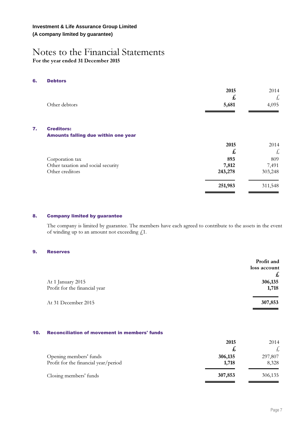#### **Investment & Life Assurance Group Limited (A company limited by guarantee)**

### Notes to the Financial Statements For the year ended 31 December 2015

#### 6. Debtors

 $7.$ 

| Other debtors                                            | 2015<br>£<br>5,681 | 2014<br>Ł<br>4,095 |
|----------------------------------------------------------|--------------------|--------------------|
| <b>Creditors:</b><br>Amounts falling due within one year |                    |                    |
|                                                          | 2015<br>£          | 2014<br>£          |
| Corporation tax                                          | 893                | 809                |
| Other taxation and social security<br>Other creditors    | 7,812<br>243,278   | 7,491<br>303,248   |
|                                                          | 251,983            | 311,548            |

#### 8. Company limited by guarantee

The company is limited by guarantee. The members have each agreed to contribute to the assets in the event of winding up to an amount not exceeding £1.

#### 9. Reserves

|                                                    | Profit and<br>loss account<br>£ |
|----------------------------------------------------|---------------------------------|
| At 1 January 2015<br>Profit for the financial year | 306,135<br>1,718                |
| At 31 December 2015                                | 307,853                         |

#### 10. Reconciliation of movement in members' funds

|                                                                | 2015             | 2014             |
|----------------------------------------------------------------|------------------|------------------|
| Opening members' funds<br>Profit for the financial year/period | 306,135<br>1,718 | 297,807<br>8,328 |
| Closing members' funds                                         | 307,853          | 306,135          |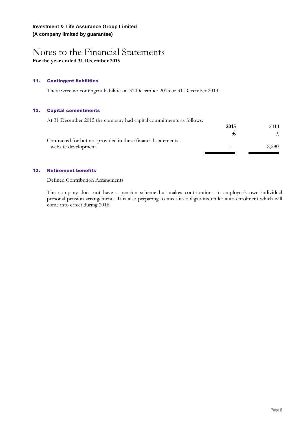### Notes to the Financial Statements For the year ended 31 December 2015

#### 11. Contingent liabilities

There were no contingent liabilities at 31 December 2015 or 31 December 2014.

#### 12. Capital commitments

At 31 December 2015 the company had capital commitments as follows:

|                                                                 | 2015 | 2014  |
|-----------------------------------------------------------------|------|-------|
|                                                                 |      |       |
| Contracted for but not provided in these financial statements - |      |       |
| website development                                             | -    | 8.280 |

#### 13. Retirement benefits

Defined Contribution Arrangments

The company does not have a pension scheme but makes contributions to employee's own individual personal pension arrangements. It is also preparing to meet its obligations under auto enrolment which will come into effect during 2016.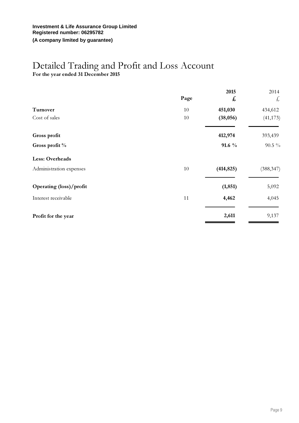#### **Investment & Life Assurance Group Limited Registered number: 06295782 (A company limited by guarantee)**

### Detailed Trading and Profit and Loss Account

For the year ended 31 December 2015

|                         | Page | 2015<br>£  | 2014<br>£  |
|-------------------------|------|------------|------------|
| Turnover                | 10   | 451,030    | 434,612    |
| Cost of sales           | 10   | (38,056)   | (41, 173)  |
| Gross profit            |      | 412,974    | 393,439    |
| Gross profit %          |      | $91.6\%$   | $90.5\%$   |
| Less: Overheads         |      |            |            |
| Administration expenses | 10   | (414, 825) | (388, 347) |
| Operating (loss)/profit |      | (1, 851)   | 5,092      |
| Interest receivable     | 11   | 4,462      | 4,045      |
| Profit for the year     |      | 2,611      | 9,137      |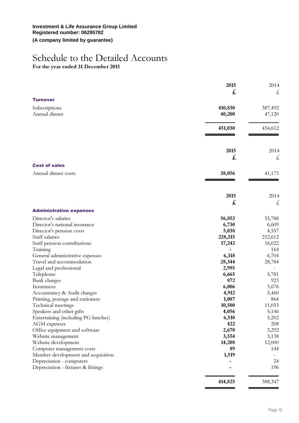## Schedule to the Detailed Accounts

For the year ended 31 December 2015

|                                              | 2015<br>2014 |
|----------------------------------------------|--------------|
|                                              | £<br>£       |
| <b>Turnover</b>                              |              |
| Subscriptions<br>410,830                     | 387,492      |
| Annual dinner<br>40,200                      | 47,120       |
|                                              |              |
| 451,030                                      | 434,612      |
|                                              |              |
|                                              |              |
|                                              | 2015<br>2014 |
|                                              | £<br>£       |
|                                              |              |
| <b>Cost of sales</b>                         |              |
| Annual dinner costs<br>38,056                | 41,173       |
|                                              |              |
|                                              | 2015<br>2014 |
|                                              | £<br>£       |
| <b>Administration expenses</b>               |              |
| Director's salaries<br>56,853                | 55,788       |
| Director's national insurance<br>6,730       | 6,609        |
| Director's pension costs<br>5,038            | 4,557        |
| Staff salaries<br>228,315                    | 212,612      |
| Staff pension contributions<br>17,242        | 16,022       |
| Training                                     | 164          |
| General administrative expenses<br>6,318     | 6,704        |
| Travel and accommodation<br>28,344           | 28,784       |
| 2,995<br>Legal and professional              |              |
| 6,665<br>Telephone                           | 5,781        |
| Bank charges                                 | 872<br>923   |
| 6,006<br>Insurances                          | 3,676        |
| 4,912<br>Accountancy & Audit charges         | 5,460        |
| 1,007<br>Printing, postage and stationery    | 864          |
| 10,500<br>Technical meetings                 | 11,053       |
| Speakers and other gifts<br>4,056            | 5,146        |
| Entertaining (including PG lunches)<br>6,510 | 5,202        |
| AGM expenses                                 | 422<br>208   |
| 2,670<br>Office equipment and software       | 3,292        |
| Website management<br>3,554                  | 3,138        |
| Website development<br>14,208                | 12,000       |
| Computer management costs                    | 89<br>144    |
| 1,519<br>Member development and acquisition  |              |
| Depreciation - computers                     | 24           |
| Depreciation - fixtures & fittings           | 196          |
| 414,825                                      | 388,347      |